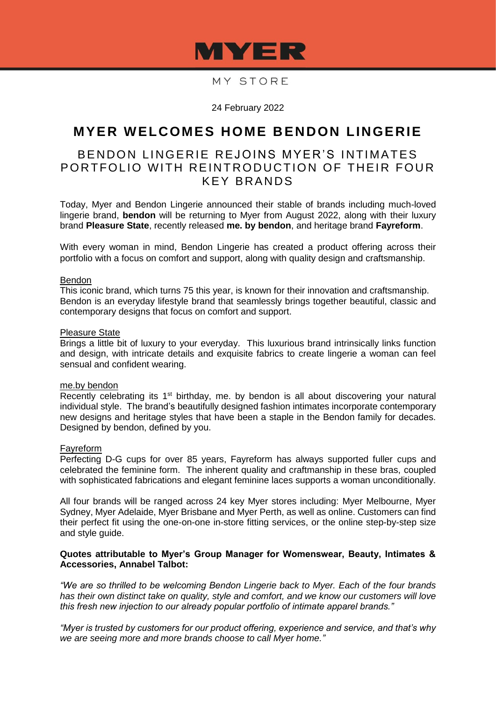

# MY STORE

24 February 2022

# **MYER WELCOMES HOME BENDON LINGERIE**

# BENDON LINGERIE REJOINS MYER'S INTIMATES PORTFOLIO WITH REINTRODUCTION OF THEIR FOUR KEY BRANDS

Today, Myer and Bendon Lingerie announced their stable of brands including much-loved lingerie brand, **bendon** will be returning to Myer from August 2022, along with their luxury brand **Pleasure State**, recently released **me. by bendon**, and heritage brand **Fayreform**.

With every woman in mind, Bendon Lingerie has created a product offering across their portfolio with a focus on comfort and support, along with quality design and craftsmanship.

### Bendon

This iconic brand, which turns 75 this year, is known for their innovation and craftsmanship. Bendon is an everyday lifestyle brand that seamlessly brings together beautiful, classic and contemporary designs that focus on comfort and support.

## Pleasure State

Brings a little bit of luxury to your everyday. This luxurious brand intrinsically links function and design, with intricate details and exquisite fabrics to create lingerie a woman can feel sensual and confident wearing.

#### me.by bendon

Recently celebrating its 1<sup>st</sup> birthday, me. by bendon is all about discovering your natural individual style. The brand's beautifully designed fashion intimates incorporate contemporary new designs and heritage styles that have been a staple in the Bendon family for decades. Designed by bendon, defined by you.

#### Fayreform

Perfecting D-G cups for over 85 years, Fayreform has always supported fuller cups and celebrated the feminine form. The inherent quality and craftmanship in these bras, coupled with sophisticated fabrications and elegant feminine laces supports a woman unconditionally.

All four brands will be ranged across 24 key Myer stores including: Myer Melbourne, Myer Sydney, Myer Adelaide, Myer Brisbane and Myer Perth, as well as online. Customers can find their perfect fit using the one-on-one in-store fitting services, or the online step-by-step size and style guide.

### **Quotes attributable to Myer's Group Manager for Womenswear, Beauty, Intimates & Accessories, Annabel Talbot:**

*"We are so thrilled to be welcoming Bendon Lingerie back to Myer. Each of the four brands has their own distinct take on quality, style and comfort, and we know our customers will love this fresh new injection to our already popular portfolio of intimate apparel brands."*

*"Myer is trusted by customers for our product offering, experience and service, and that's why we are seeing more and more brands choose to call Myer home."*